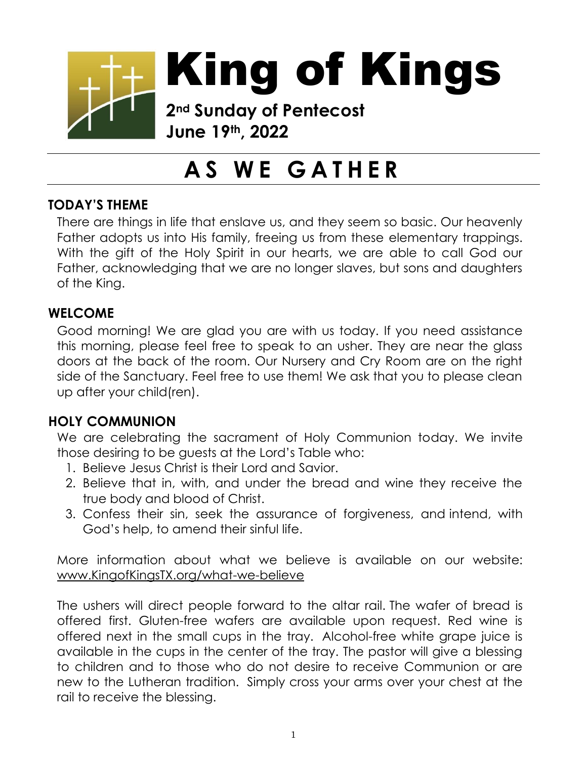

# **A S W E G A T H E R**

### **TODAY'S THEME**

There are things in life that enslave us, and they seem so basic. Our heavenly Father adopts us into His family, freeing us from these elementary trappings. With the gift of the Holy Spirit in our hearts, we are able to call God our Father, acknowledging that we are no longer slaves, but sons and daughters of the King.

### **WELCOME**

Good morning! We are glad you are with us today. If you need assistance this morning, please feel free to speak to an usher. They are near the glass doors at the back of the room. Our Nursery and Cry Room are on the right side of the Sanctuary. Feel free to use them! We ask that you to please clean up after your child(ren).

### **HOLY COMMUNION**

We are celebrating the sacrament of Holy Communion today. We invite those desiring to be guests at the Lord's Table who:

- 1. Believe Jesus Christ is their Lord and Savior.
- 2. Believe that in, with, and under the bread and wine they receive the true body and blood of Christ.
- 3. Confess their sin, seek the assurance of forgiveness, and intend, with God's help, to amend their sinful life.

More information about what we believe is available on our website: www.KingofKingsTX.org/what-we-believe

The ushers will direct people forward to the altar rail. The wafer of bread is offered first. Gluten-free wafers are available upon request. Red wine is offered next in the small cups in the tray. Alcohol-free white grape juice is available in the cups in the center of the tray. The pastor will give a blessing to children and to those who do not desire to receive Communion or are new to the Lutheran tradition. Simply cross your arms over your chest at the rail to receive the blessing.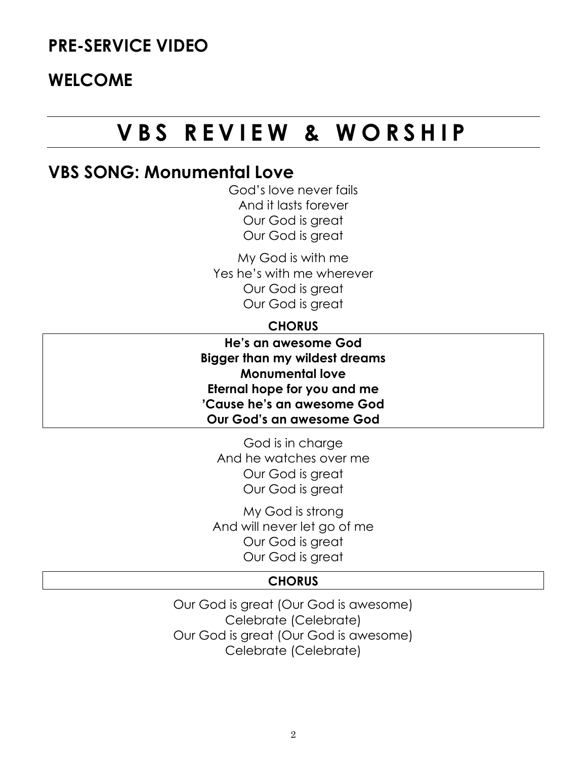## **PRE-SERVICE VIDEO**

## **WELCOME**

## **VBS R E V I E W & W O R S H I P**

## **VBS SONG: Monumental Love**

God's love never fails And it lasts forever Our God is great Our God is great

My God is with me Yes he's with me wherever Our God is great Our God is great

### **CHORUS**

**He's an awesome God Bigger than my wildest dreams Monumental love Eternal hope for you and me 'Cause he's an awesome God Our God's an awesome God**

God is in charge And he watches over me Our God is great Our God is great

My God is strong And will never let go of me Our God is great Our God is great

#### **CHORUS**

Our God is great (Our God is awesome) Celebrate (Celebrate) Our God is great (Our God is awesome) Celebrate (Celebrate)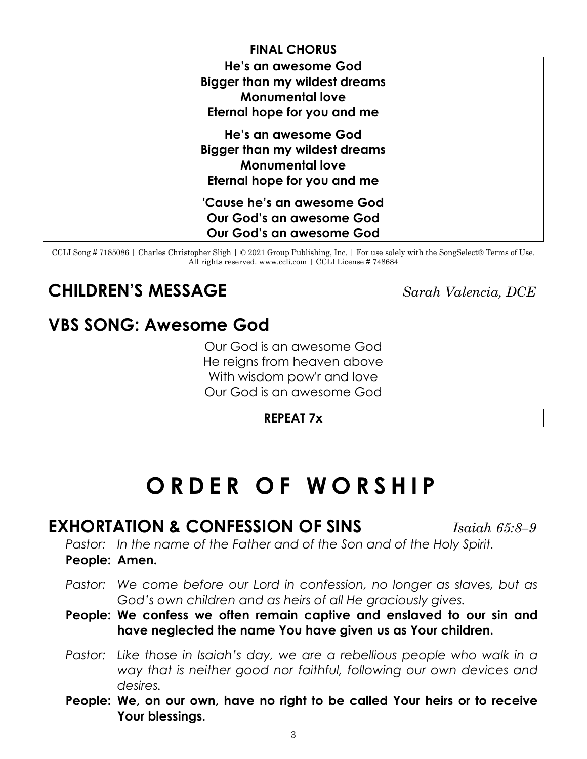#### **FINAL CHORUS He's an awesome God**

**Bigger than my wildest dreams Monumental love Eternal hope for you and me**

**He's an awesome God Bigger than my wildest dreams Monumental love Eternal hope for you and me**

**'Cause he's an awesome God Our God's an awesome God Our God's an awesome God**

CCLI Song # 7185086 | Charles Christopher Sligh | © 2021 Group Publishing, Inc. | For use solely with the SongSelect® [Terms of Use.](https://songselect.ccli.com/about/termsofuse) All rights reserved. [www.ccli.com](http://www.ccli.com/) | CCLI License # 748684

## **CHILDREN'S MESSAGE** *Sarah Valencia, DCE*

## **VBS SONG: Awesome God**

Our God is an awesome God He reigns from heaven above With wisdom pow'r and love Our God is an awesome God

### **REPEAT 7x**

## **O R D E R O F W O R S H I P**

### **EXHORTATION & CONFESSION OF SINS** *Isaiah 65:8–9*

*Pastor: In the name of the Father and of the Son and of the Holy Spirit.* **People: Amen.**

- *Pastor: We come before our Lord in confession, no longer as slaves, but as God's own children and as heirs of all He graciously gives.*
- **People: We confess we often remain captive and enslaved to our sin and have neglected the name You have given us as Your children.**
- *Pastor: Like those in Isaiah's day, we are a rebellious people who walk in a way that is neither good nor faithful, following our own devices and desires.*
- **People: We, on our own, have no right to be called Your heirs or to receive Your blessings.**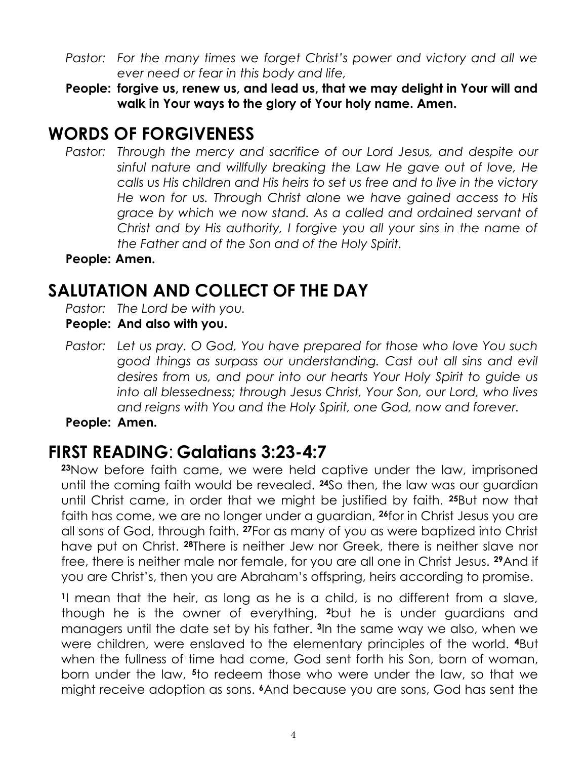- *Pastor: For the many times we forget Christ's power and victory and all we ever need or fear in this body and life,*
- **People: forgive us, renew us, and lead us, that we may delight in Your will and walk in Your ways to the glory of Your holy name. Amen.**

## **WORDS OF FORGIVENESS**

*Pastor: Through the mercy and sacrifice of our Lord Jesus, and despite our sinful nature and willfully breaking the Law He gave out of love, He calls us His children and His heirs to set us free and to live in the victory He won for us. Through Christ alone we have gained access to His grace by which we now stand. As a called and ordained servant of Christ and by His authority, I forgive you all your sins in the name of the Father and of the Son and of the Holy Spirit.*

**People: Amen.**

## **SALUTATION AND COLLECT OF THE DAY**

*Pastor: The Lord be with you.*

**People: And also with you.**

*Pastor: Let us pray. O God, You have prepared for those who love You such good things as surpass our understanding. Cast out all sins and evil desires from us, and pour into our hearts Your Holy Spirit to guide us into all blessedness; through Jesus Christ, Your Son, our Lord, who lives and reigns with You and the Holy Spirit, one God, now and forever.*

**People: Amen.**

## **FIRST READING**: **Galatians 3:23-4:7**

**<sup>23</sup>**Now before faith came, we were held captive under the law, imprisoned until the coming faith would be revealed. **24**So then, the law was our guardian until Christ came, in order that we might be justified by faith. **25**But now that faith has come, we are no longer under a guardian, **26**for in Christ Jesus you are all sons of God, through faith. **27**For as many of you as were baptized into Christ have put on Christ. **28**There is neither Jew nor Greek, there is neither slave nor free, there is neither male nor female, for you are all one in Christ Jesus. **29**And if you are Christ's, then you are Abraham's offspring, heirs according to promise.

**<sup>1</sup>**I mean that the heir, as long as he is a child, is no different from a slave, though he is the owner of everything, **2**but he is under guardians and managers until the date set by his father. **3**In the same way we also, when we were children, were enslaved to the elementary principles of the world. **4**But when the fullness of time had come, God sent forth his Son, born of woman, born under the law, **5**to redeem those who were under the law, so that we might receive adoption as sons. **6**And because you are sons, God has sent the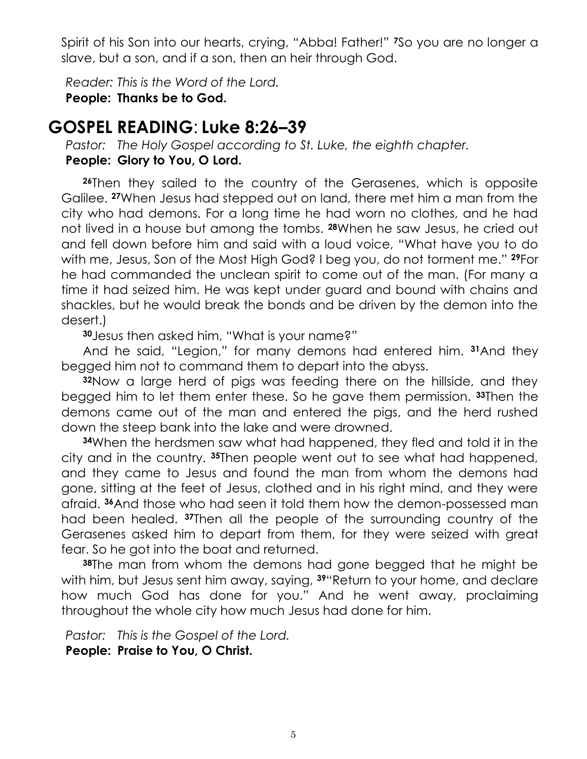Spirit of his Son into our hearts, crying, "Abba! Father!" **7**So you are no longer a slave, but a son, and if a son, then an heir through God.

*Reader: This is the Word of the Lord.* **People: Thanks be to God.**

## **GOSPEL READING**: **Luke 8:26–39**

*Pastor: The Holy Gospel according to St. Luke, the eighth chapter.* **People: Glory to You, O Lord.**

**<sup>26</sup>**Then they sailed to the country of the Gerasenes, which is opposite Galilee. **27**When Jesus had stepped out on land, there met him a man from the city who had demons. For a long time he had worn no clothes, and he had not lived in a house but among the tombs. **28**When he saw Jesus, he cried out and fell down before him and said with a loud voice, "What have you to do with me, Jesus, Son of the Most High God? I beg you, do not torment me." **29**For he had commanded the unclean spirit to come out of the man. (For many a time it had seized him. He was kept under guard and bound with chains and shackles, but he would break the bonds and be driven by the demon into the desert.)

**<sup>30</sup>**Jesus then asked him, "What is your name?"

And he said, "Legion," for many demons had entered him. **31**And they begged him not to command them to depart into the abyss.

**<sup>32</sup>**Now a large herd of pigs was feeding there on the hillside, and they begged him to let them enter these. So he gave them permission. **33**Then the demons came out of the man and entered the pigs, and the herd rushed down the steep bank into the lake and were drowned.

**<sup>34</sup>**When the herdsmen saw what had happened, they fled and told it in the city and in the country. **35**Then people went out to see what had happened, and they came to Jesus and found the man from whom the demons had gone, sitting at the feet of Jesus, clothed and in his right mind, and they were afraid. **36**And those who had seen it told them how the demon-possessed man had been healed. **37**Then all the people of the surrounding country of the Gerasenes asked him to depart from them, for they were seized with great fear. So he got into the boat and returned.

**<sup>38</sup>**The man from whom the demons had gone begged that he might be with him, but Jesus sent him away, saying, **39**"Return to your home, and declare how much God has done for you." And he went away, proclaiming throughout the whole city how much Jesus had done for him.

*Pastor: This is the Gospel of the Lord.* **People: Praise to You, O Christ.**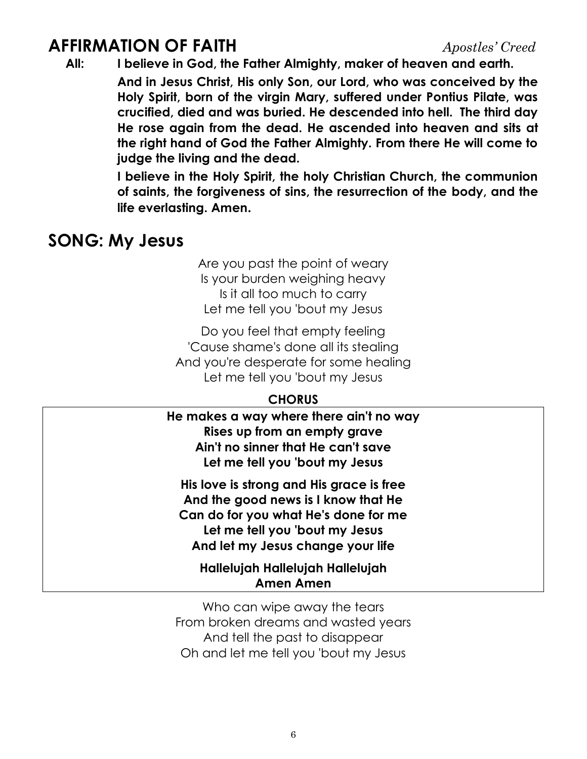## **AFFIRMATION OF FAITH** *Apostles' Creed*

**All: I believe in God, the Father Almighty, maker of heaven and earth.**

**And in Jesus Christ, His only Son, our Lord, who was conceived by the Holy Spirit, born of the virgin Mary, suffered under Pontius Pilate, was crucified, died and was buried. He descended into hell. The third day He rose again from the dead. He ascended into heaven and sits at the right hand of God the Father Almighty. From there He will come to judge the living and the dead.** 

**I believe in the Holy Spirit, the holy Christian Church, the communion of saints, the forgiveness of sins, the resurrection of the body, and the life everlasting. Amen.**

## **SONG: My Jesus**

Are you past the point of weary Is your burden weighing heavy Is it all too much to carry Let me tell you 'bout my Jesus

Do you feel that empty feeling 'Cause shame's done all its stealing And you're desperate for some healing Let me tell you 'bout my Jesus

### **CHORUS**

**He makes a way where there ain't no way Rises up from an empty grave Ain't no sinner that He can't save Let me tell you 'bout my Jesus**

**His love is strong and His grace is free And the good news is I know that He Can do for you what He's done for me Let me tell you 'bout my Jesus And let my Jesus change your life**

**Hallelujah Hallelujah Hallelujah Amen Amen**

Who can wipe away the tears From broken dreams and wasted years And tell the past to disappear Oh and let me tell you 'bout my Jesus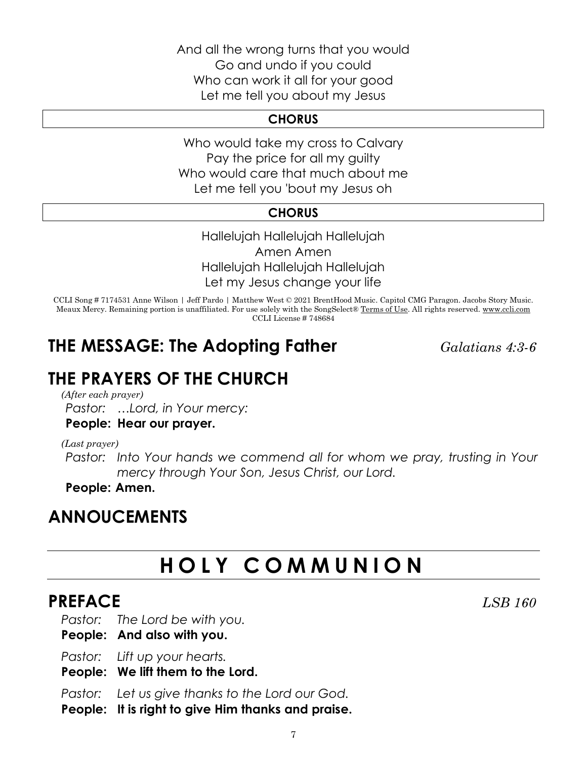And all the wrong turns that you would Go and undo if you could Who can work it all for your good Let me tell you about my Jesus

### **CHORUS**

Who would take my cross to Calvary Pay the price for all my guilty Who would care that much about me Let me tell you 'bout my Jesus oh

### **CHORUS**

Hallelujah Hallelujah Hallelujah Amen Amen Hallelujah Hallelujah Hallelujah Let my Jesus change your life

CCLI Song # 7174531 Anne Wilson | Jeff Pardo | Matthew West © 2021 BrentHood Music. Capitol CMG Paragon. Jacobs Story Music. Meaux Mercy. Remaining portion is unaffiliated. For use solely with the SongSelect® [Terms of Use.](https://songselect.ccli.com/about/termsofuse) All rights reserved. [www.ccli.com](http://www.ccli.com/) CCLI License # 748684

## **THE MESSAGE: The Adopting Father** *Galatians 4:3-6*

## **THE PRAYERS OF THE CHURCH**

*(After each prayer) Pastor: …Lord, in Your mercy:*

**People: Hear our prayer.**

*(Last prayer)*

Pastor: Into Your hands we commend all for whom we pray, trusting in Your *mercy through Your Son, Jesus Christ, our Lord.*

**People: Amen.**

## **ANNOUCEMENTS**

## **H O L Y C O M M U N I O N**

### **PREFACE** *LSB 160*

*Pastor: The Lord be with you.*

- **People: And also with you.**
- *Pastor: Lift up your hearts.*

**People: We lift them to the Lord.**

*Pastor: Let us give thanks to the Lord our God.*

**People: It is right to give Him thanks and praise.**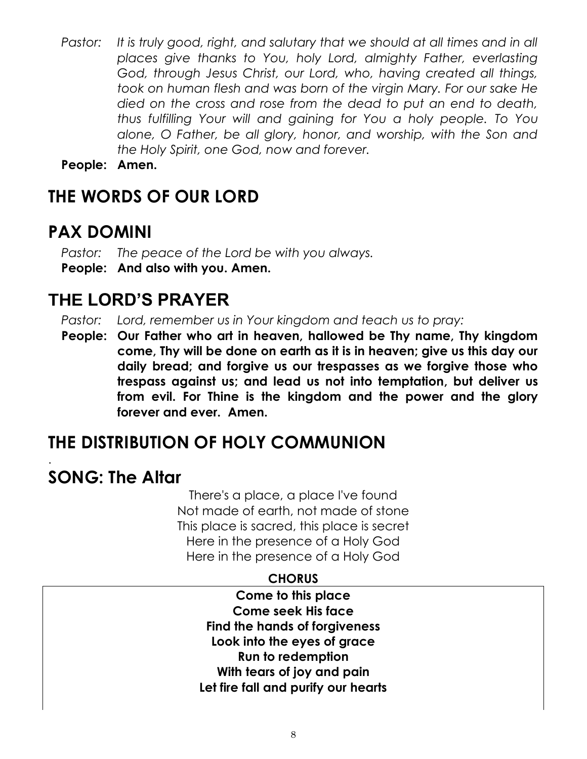*Pastor:* It is truly good, right, and salutary that we should at all times and in all *places give thanks to You, holy Lord, almighty Father, everlasting God, through Jesus Christ, our Lord, who, having created all things, took on human flesh and was born of the virgin Mary. For our sake He died on the cross and rose from the dead to put an end to death, thus fulfilling Your will and gaining for You a holy people. To You alone, O Father, be all glory, honor, and worship, with the Son and the Holy Spirit, one God, now and forever.*

**People: Amen.**

## **THE WORDS OF OUR LORD**

## **PAX DOMINI**

*Pastor: The peace of the Lord be with you always.* **People: And also with you. Amen.**

## **THE LORD'S PRAYER**

*Pastor: Lord, remember us in Your kingdom and teach us to pray:*

**People: Our Father who art in heaven, hallowed be Thy name, Thy kingdom come, Thy will be done on earth as it is in heaven; give us this day our daily bread; and forgive us our trespasses as we forgive those who trespass against us; and lead us not into temptation, but deliver us from evil. For Thine is the kingdom and the power and the glory forever and ever. Amen.**

## **THE DISTRIBUTION OF HOLY COMMUNION**

## **SONG: The Altar**

.

There's a place, a place I've found Not made of earth, not made of stone This place is sacred, this place is secret Here in the presence of a Holy God Here in the presence of a Holy God

### **CHORUS**

**Come to this place Come seek His face Find the hands of forgiveness Look into the eyes of grace Run to redemption With tears of joy and pain Let fire fall and purify our hearts**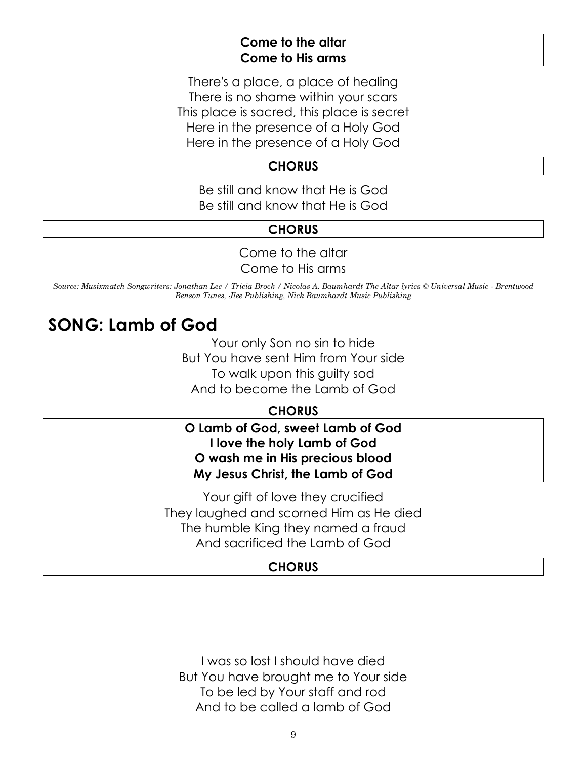### **Come to the altar Come to His arms**

There's a place, a place of healing There is no shame within your scars This place is sacred, this place is secret Here in the presence of a Holy God Here in the presence of a Holy God

### **CHORUS**

Be still and know that He is God Be still and know that He is God

### **CHORUS**

Come to the altar

Come to His arms

*Source: [Musixmatch](https://www.musixmatch.com/) Songwriters: Jonathan Lee / Tricia Brock / Nicolas A. Baumhardt The Altar lyrics © Universal Music - Brentwood Benson Tunes, Jlee Publishing, Nick Baumhardt Music Publishing*

## **SONG: Lamb of God**

Your only Son no sin to hide But You have sent Him from Your side To walk upon this guilty sod And to become the Lamb of God

### **CHORUS**

**O Lamb of God, sweet Lamb of God I love the holy Lamb of God O wash me in His precious blood My Jesus Christ, the Lamb of God**

Your gift of love they crucified They laughed and scorned Him as He died The humble King they named a fraud And sacrificed the Lamb of God

### **CHORUS**

I was so lost I should have died But You have brought me to Your side To be led by Your staff and rod And to be called a lamb of God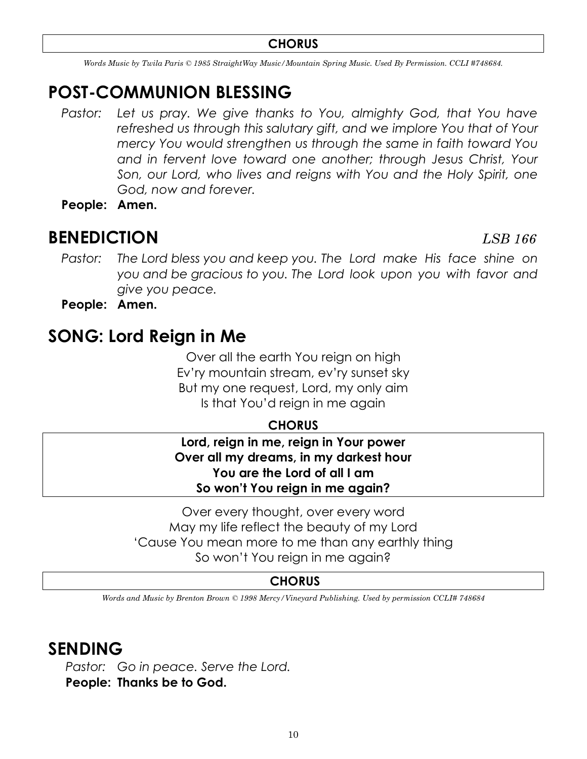### **CHORUS**

*Words Music by Twila Paris © 1985 StraightWay Music/Mountain Spring Music. Used By Permission. CCLI #748684.*

## **POST-COMMUNION BLESSING**

*Pastor: Let us pray. We give thanks to You, almighty God, that You have refreshed us through this salutary gift, and we implore You that of Your mercy You would strengthen us through the same in faith toward You and in fervent love toward one another; through Jesus Christ, Your Son, our Lord, who lives and reigns with You and the Holy Spirit, one God, now and forever.*

**People: Amen.**

## **BENEDICTION** *LSB 166*

*Pastor: The Lord bless you and keep you. The Lord make His face shine on you and be gracious to you. The Lord look upon you with favor and give you peace.*

**People: Amen.**

## **SONG: Lord Reign in Me**

Over all the earth You reign on high Ev'ry mountain stream, ev'ry sunset sky But my one request, Lord, my only aim Is that You'd reign in me again

### **CHORUS**

**Lord, reign in me, reign in Your power Over all my dreams, in my darkest hour You are the Lord of all I am So won't You reign in me again?**

Over every thought, over every word May my life reflect the beauty of my Lord 'Cause You mean more to me than any earthly thing So won't You reign in me again?

### **CHORUS**

*Words and Music by Brenton Brown © 1998 Mercy/Vineyard Publishing. Used by permission CCLI# 748684*

## **SENDING**

*Pastor: Go in peace. Serve the Lord.* **People: Thanks be to God.**